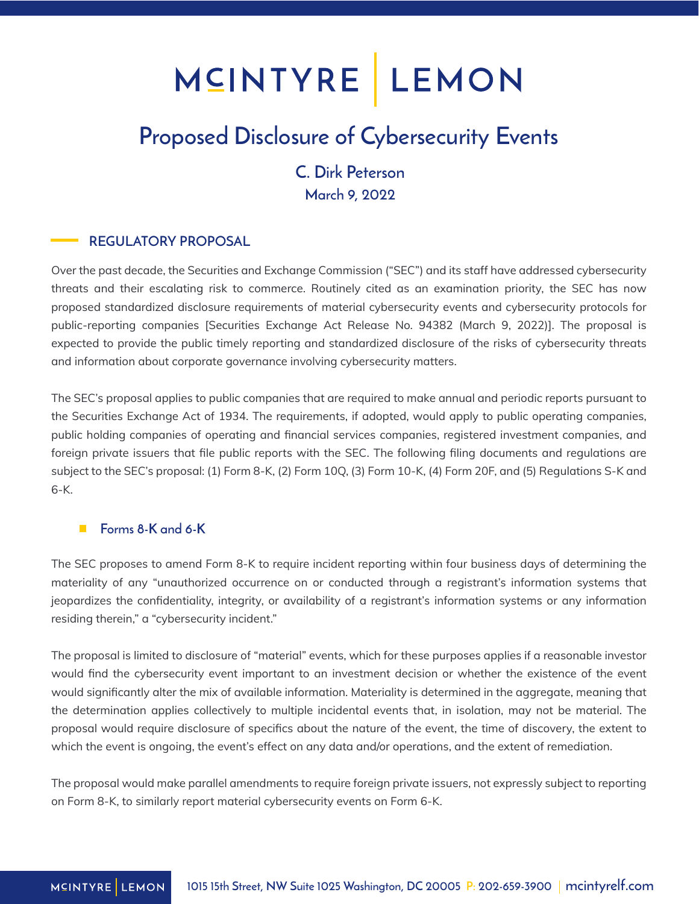## MCINTYRE LEMON

## Proposed Disclosure of Cybersecurity Events

### C. Dirk Peterson March 9, 2022

#### REGULATORY PROPOSAL

Over the past decade, the Securities and Exchange Commission ("SEC") and its staff have addressed cybersecurity threats and their escalating risk to commerce. Routinely cited as an examination priority, the SEC has now proposed standardized disclosure requirements of material cybersecurity events and cybersecurity protocols for public-reporting companies [Securities Exchange Act Release No. 94382 (March 9, 2022)]. The proposal is expected to provide the public timely reporting and standardized disclosure of the risks of cybersecurity threats and information about corporate governance involving cybersecurity matters.

The SEC's proposal applies to public companies that are required to make annual and periodic reports pursuant to the Securities Exchange Act of 1934. The requirements, if adopted, would apply to public operating companies, public holding companies of operating and financial services companies, registered investment companies, and foreign private issuers that file public reports with the SEC. The following filing documents and regulations are subject to the SEC's proposal: (1) Form 8-K, (2) Form 10Q, (3) Form 10-K, (4) Form 20F, and (5) Regulations S-K and 6-K.

#### Forms 8-K and 6-K

The SEC proposes to amend Form 8-K to require incident reporting within four business days of determining the materiality of any "unauthorized occurrence on or conducted through a registrant's information systems that jeopardizes the confidentiality, integrity, or availability of a registrant's information systems or any information residing therein," a "cybersecurity incident."

The proposal is limited to disclosure of "material" events, which for these purposes applies if a reasonable investor would find the cybersecurity event important to an investment decision or whether the existence of the event would significantly alter the mix of available information. Materiality is determined in the aggregate, meaning that the determination applies collectively to multiple incidental events that, in isolation, may not be material. The proposal would require disclosure of specifics about the nature of the event, the time of discovery, the extent to which the event is ongoing, the event's effect on any data and/or operations, and the extent of remediation.

The proposal would make parallel amendments to require foreign private issuers, not expressly subject to reporting on Form 8-K, to similarly report material cybersecurity events on Form 6-K.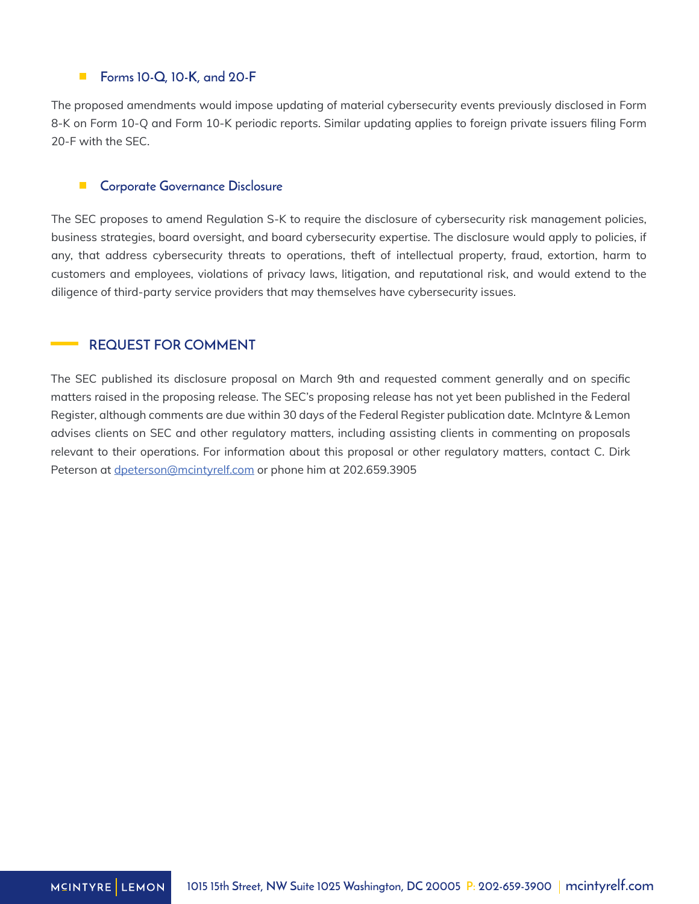#### $\overline{\phantom{a}}$ Forms 10-Q, 10-K, and 20-F

The proposed amendments would impose updating of material cybersecurity events previously disclosed in Form 8-K on Form 10-Q and Form 10-K periodic reports. Similar updating applies to foreign private issuers filing Form 20-F with the SEC.

#### $\blacksquare$ Corporate Governance Disclosure

The SEC proposes to amend Regulation S-K to require the disclosure of cybersecurity risk management policies, business strategies, board oversight, and board cybersecurity expertise. The disclosure would apply to policies, if any, that address cybersecurity threats to operations, theft of intellectual property, fraud, extortion, harm to customers and employees, violations of privacy laws, litigation, and reputational risk, and would extend to the diligence of third-party service providers that may themselves have cybersecurity issues.

#### REQUEST FOR COMMENT

The SEC published its disclosure proposal on March 9th and requested comment generally and on specific matters raised in the proposing release. The SEC's proposing release has not yet been published in the Federal Register, although comments are due within 30 days of the Federal Register publication date. McIntyre & Lemon advises clients on SEC and other regulatory matters, including assisting clients in commenting on proposals relevant to their operations. For information about this proposal or other regulatory matters, contact C. Dirk Peterson at *dpeterson@mcintyrelf.com* or phone him at 202.659.3905